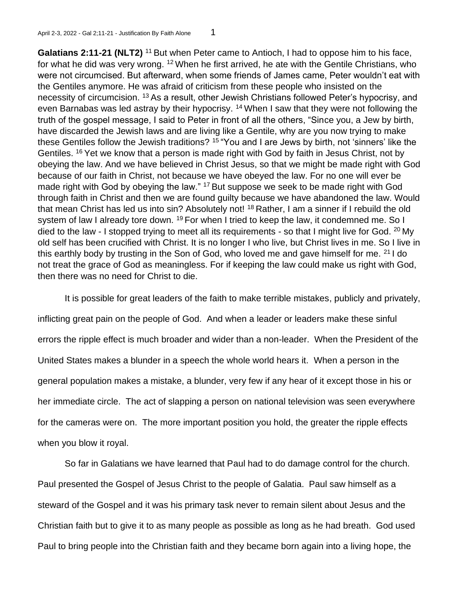**Galatians 2:11-21 (NLT2)** <sup>11</sup> But when Peter came to Antioch, I had to oppose him to his face, for what he did was very wrong. <sup>12</sup> When he first arrived, he ate with the Gentile Christians, who were not circumcised. But afterward, when some friends of James came, Peter wouldn't eat with the Gentiles anymore. He was afraid of criticism from these people who insisted on the necessity of circumcision. <sup>13</sup>As a result, other Jewish Christians followed Peter's hypocrisy, and even Barnabas was led astray by their hypocrisy. <sup>14</sup> When I saw that they were not following the truth of the gospel message, I said to Peter in front of all the others, "Since you, a Jew by birth, have discarded the Jewish laws and are living like a Gentile, why are you now trying to make these Gentiles follow the Jewish traditions? <sup>15</sup> "You and I are Jews by birth, not 'sinners' like the Gentiles. <sup>16</sup> Yet we know that a person is made right with God by faith in Jesus Christ, not by obeying the law. And we have believed in Christ Jesus, so that we might be made right with God because of our faith in Christ, not because we have obeyed the law. For no one will ever be made right with God by obeying the law." <sup>17</sup> But suppose we seek to be made right with God through faith in Christ and then we are found guilty because we have abandoned the law. Would that mean Christ has led us into sin? Absolutely not! <sup>18</sup> Rather, I am a sinner if I rebuild the old system of law I already tore down. <sup>19</sup> For when I tried to keep the law, it condemned me. So I died to the law - I stopped trying to meet all its requirements - so that I might live for God. <sup>20</sup> My old self has been crucified with Christ. It is no longer I who live, but Christ lives in me. So I live in this earthly body by trusting in the Son of God, who loved me and gave himself for me. <sup>21</sup> I do not treat the grace of God as meaningless. For if keeping the law could make us right with God, then there was no need for Christ to die.

It is possible for great leaders of the faith to make terrible mistakes, publicly and privately, inflicting great pain on the people of God. And when a leader or leaders make these sinful errors the ripple effect is much broader and wider than a non-leader. When the President of the United States makes a blunder in a speech the whole world hears it. When a person in the general population makes a mistake, a blunder, very few if any hear of it except those in his or her immediate circle. The act of slapping a person on national television was seen everywhere for the cameras were on. The more important position you hold, the greater the ripple effects when you blow it royal.

So far in Galatians we have learned that Paul had to do damage control for the church. Paul presented the Gospel of Jesus Christ to the people of Galatia. Paul saw himself as a steward of the Gospel and it was his primary task never to remain silent about Jesus and the Christian faith but to give it to as many people as possible as long as he had breath. God used Paul to bring people into the Christian faith and they became born again into a living hope, the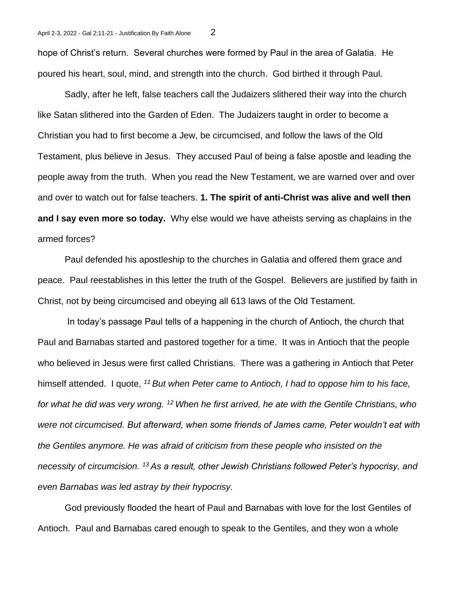hope of Christ's return. Several churches were formed by Paul in the area of Galatia. He poured his heart, soul, mind, and strength into the church. God birthed it through Paul.

Sadly, after he left, false teachers call the Judaizers slithered their way into the church like Satan slithered into the Garden of Eden. The Judaizers taught in order to become a Christian you had to first become a Jew, be circumcised, and follow the laws of the Old Testament, plus believe in Jesus. They accused Paul of being a false apostle and leading the people away from the truth. When you read the New Testament, we are warned over and over and over to watch out for false teachers. **1. The spirit of anti-Christ was alive and well then and I say even more so today.** Why else would we have atheists serving as chaplains in the armed forces?

Paul defended his apostleship to the churches in Galatia and offered them grace and peace. Paul reestablishes in this letter the truth of the Gospel. Believers are justified by faith in Christ, not by being circumcised and obeying all 613 laws of the Old Testament.

In today's passage Paul tells of a happening in the church of Antioch, the church that Paul and Barnabas started and pastored together for a time. It was in Antioch that the people who believed in Jesus were first called Christians. There was a gathering in Antioch that Peter himself attended. I quote, *<sup>11</sup>But when Peter came to Antioch, I had to oppose him to his face, for what he did was very wrong. <sup>12</sup>When he first arrived, he ate with the Gentile Christians, who were not circumcised. But afterward, when some friends of James came, Peter wouldn't eat with the Gentiles anymore. He was afraid of criticism from these people who insisted on the necessity of circumcision. <sup>13</sup>As a result, other Jewish Christians followed Peter's hypocrisy, and even Barnabas was led astray by their hypocrisy.*

God previously flooded the heart of Paul and Barnabas with love for the lost Gentiles of Antioch. Paul and Barnabas cared enough to speak to the Gentiles, and they won a whole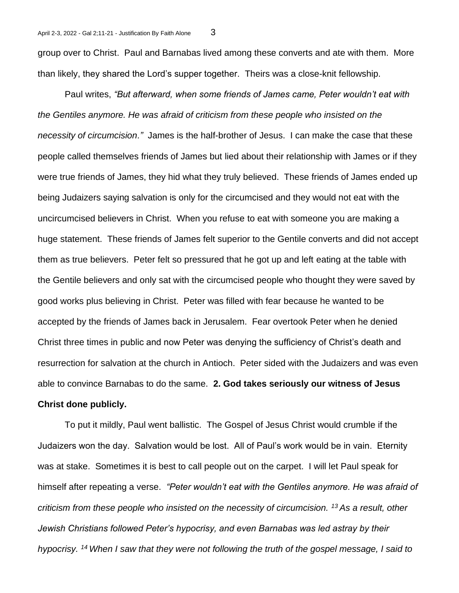group over to Christ. Paul and Barnabas lived among these converts and ate with them. More than likely, they shared the Lord's supper together. Theirs was a close-knit fellowship.

Paul writes, *"But afterward, when some friends of James came, Peter wouldn't eat with the Gentiles anymore. He was afraid of criticism from these people who insisted on the necessity of circumcision."* James is the half-brother of Jesus. I can make the case that these people called themselves friends of James but lied about their relationship with James or if they were true friends of James, they hid what they truly believed. These friends of James ended up being Judaizers saying salvation is only for the circumcised and they would not eat with the uncircumcised believers in Christ. When you refuse to eat with someone you are making a huge statement. These friends of James felt superior to the Gentile converts and did not accept them as true believers. Peter felt so pressured that he got up and left eating at the table with the Gentile believers and only sat with the circumcised people who thought they were saved by good works plus believing in Christ. Peter was filled with fear because he wanted to be accepted by the friends of James back in Jerusalem. Fear overtook Peter when he denied Christ three times in public and now Peter was denying the sufficiency of Christ's death and resurrection for salvation at the church in Antioch. Peter sided with the Judaizers and was even able to convince Barnabas to do the same. **2. God takes seriously our witness of Jesus Christ done publicly.** 

To put it mildly, Paul went ballistic. The Gospel of Jesus Christ would crumble if the Judaizers won the day. Salvation would be lost. All of Paul's work would be in vain. Eternity was at stake. Sometimes it is best to call people out on the carpet. I will let Paul speak for himself after repeating a verse. *"Peter wouldn't eat with the Gentiles anymore. He was afraid of criticism from these people who insisted on the necessity of circumcision. <sup>13</sup>As a result, other Jewish Christians followed Peter's hypocrisy, and even Barnabas was led astray by their hypocrisy. <sup>14</sup>When I saw that they were not following the truth of the gospel message, I said to*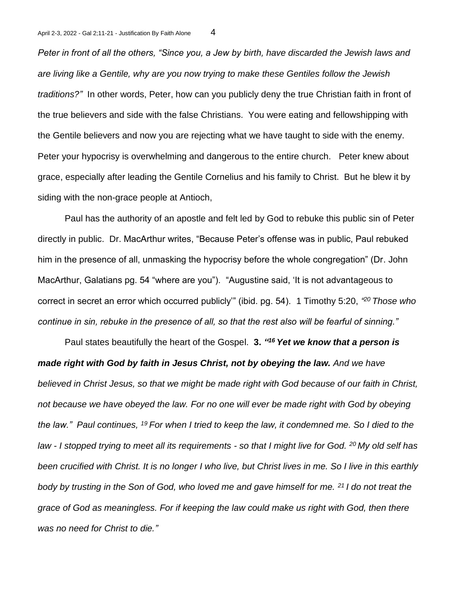*Peter in front of all the others, "Since you, a Jew by birth, have discarded the Jewish laws and are living like a Gentile, why are you now trying to make these Gentiles follow the Jewish traditions?"* In other words, Peter, how can you publicly deny the true Christian faith in front of the true believers and side with the false Christians. You were eating and fellowshipping with the Gentile believers and now you are rejecting what we have taught to side with the enemy. Peter your hypocrisy is overwhelming and dangerous to the entire church. Peter knew about grace, especially after leading the Gentile Cornelius and his family to Christ. But he blew it by siding with the non-grace people at Antioch,

Paul has the authority of an apostle and felt led by God to rebuke this public sin of Peter directly in public. Dr. MacArthur writes, "Because Peter's offense was in public, Paul rebuked him in the presence of all, unmasking the hypocrisy before the whole congregation" (Dr. John MacArthur, Galatians pg. 54 "where are you"). "Augustine said, 'It is not advantageous to correct in secret an error which occurred publicly'" (ibid. pg. 54). 1 Timothy 5:20, *" <sup>20</sup>Those who continue in sin, rebuke in the presence of all, so that the rest also will be fearful of sinning."*

Paul states beautifully the heart of the Gospel. **3.** *" <sup>16</sup>Yet we know that a person is made right with God by faith in Jesus Christ, not by obeying the law. And we have believed in Christ Jesus, so that we might be made right with God because of our faith in Christ, not because we have obeyed the law. For no one will ever be made right with God by obeying the law." Paul continues, <sup>19</sup>For when I tried to keep the law, it condemned me. So I died to the law - I stopped trying to meet all its requirements - so that I might live for God. <sup>20</sup>My old self has been crucified with Christ. It is no longer I who live, but Christ lives in me. So I live in this earthly body by trusting in the Son of God, who loved me and gave himself for me. <sup>21</sup>I do not treat the grace of God as meaningless. For if keeping the law could make us right with God, then there was no need for Christ to die."*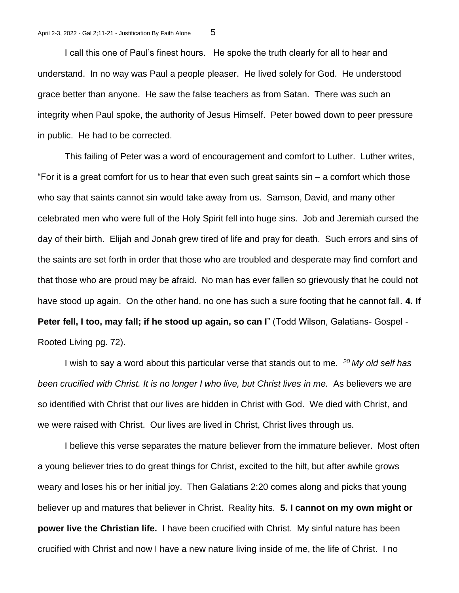I call this one of Paul's finest hours. He spoke the truth clearly for all to hear and understand. In no way was Paul a people pleaser. He lived solely for God. He understood grace better than anyone. He saw the false teachers as from Satan. There was such an integrity when Paul spoke, the authority of Jesus Himself. Peter bowed down to peer pressure in public. He had to be corrected.

This failing of Peter was a word of encouragement and comfort to Luther. Luther writes, "For it is a great comfort for us to hear that even such great saints sin – a comfort which those who say that saints cannot sin would take away from us. Samson, David, and many other celebrated men who were full of the Holy Spirit fell into huge sins. Job and Jeremiah cursed the day of their birth. Elijah and Jonah grew tired of life and pray for death. Such errors and sins of the saints are set forth in order that those who are troubled and desperate may find comfort and that those who are proud may be afraid. No man has ever fallen so grievously that he could not have stood up again. On the other hand, no one has such a sure footing that he cannot fall. **4. If Peter fell, I too, may fall; if he stood up again, so can I**" (Todd Wilson, Galatians- Gospel - Rooted Living pg. 72).

I wish to say a word about this particular verse that stands out to me. *<sup>20</sup>My old self has been crucified with Christ. It is no longer I who live, but Christ lives in me.* As believers we are so identified with Christ that our lives are hidden in Christ with God. We died with Christ, and we were raised with Christ. Our lives are lived in Christ, Christ lives through us.

I believe this verse separates the mature believer from the immature believer. Most often a young believer tries to do great things for Christ, excited to the hilt, but after awhile grows weary and loses his or her initial joy. Then Galatians 2:20 comes along and picks that young believer up and matures that believer in Christ. Reality hits. **5. I cannot on my own might or power live the Christian life.** I have been crucified with Christ. My sinful nature has been crucified with Christ and now I have a new nature living inside of me, the life of Christ. I no